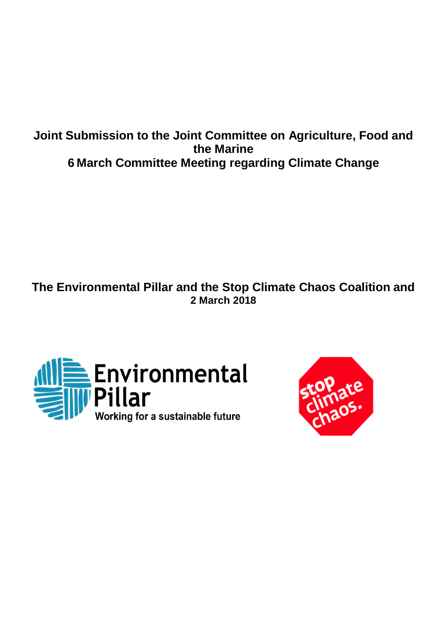# **Joint Submission to the Joint Committee on Agriculture, Food and the Marine 6 March Committee Meeting regarding Climate Change**

**The Environmental Pillar and the Stop Climate Chaos Coalition and 2 March 2018**



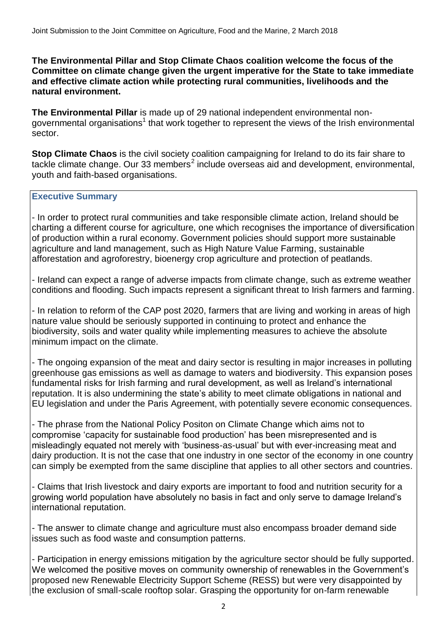### **The Environmental Pillar and Stop Climate Chaos coalition welcome the focus of the Committee on climate change given the urgent imperative for the State to take immediate and effective climate action while protecting rural communities, livelihoods and the natural environment.**

**The Environmental Pillar** is made up of 29 national independent environmental nongovernmental organisations<sup>1</sup> that work together to represent the views of the Irish environmental sector.

**Stop Climate Chaos** is the civil society coalition campaigning for Ireland to do its fair share to tackle climate change. Our 33 members<sup>2</sup> include overseas aid and development, environmental, youth and faith-based organisations.

### **Executive Summary**

- In order to protect rural communities and take responsible climate action, Ireland should be charting a different course for agriculture, one which recognises the importance of diversification of production within a rural economy. Government policies should support more sustainable agriculture and land management, such as High Nature Value Farming, sustainable afforestation and agroforestry, bioenergy crop agriculture and protection of peatlands.

- Ireland can expect a range of adverse impacts from climate change, such as extreme weather conditions and flooding. Such impacts represent a significant threat to Irish farmers and farming.

- In relation to reform of the CAP post 2020, farmers that are living and working in areas of high nature value should be seriously supported in continuing to protect and enhance the biodiversity, soils and water quality while implementing measures to achieve the absolute minimum impact on the climate.

- The ongoing expansion of the meat and dairy sector is resulting in major increases in polluting greenhouse gas emissions as well as damage to waters and biodiversity. This expansion poses fundamental risks for Irish farming and rural development, as well as Ireland's international reputation. It is also undermining the state's ability to meet climate obligations in national and EU legislation and under the Paris Agreement, with potentially severe economic consequences.

- The phrase from the National Policy Positon on Climate Change which aims not to compromise 'capacity for sustainable food production' has been misrepresented and is misleadingly equated not merely with 'business-as-usual' but with ever-increasing meat and dairy production. It is not the case that one industry in one sector of the economy in one country can simply be exempted from the same discipline that applies to all other sectors and countries.

- Claims that Irish livestock and dairy exports are important to food and nutrition security for a growing world population have absolutely no basis in fact and only serve to damage Ireland's international reputation.

- The answer to climate change and agriculture must also encompass broader demand side issues such as food waste and consumption patterns.

- Participation in energy emissions mitigation by the agriculture sector should be fully supported. We welcomed the positive moves on community ownership of renewables in the Government's proposed new Renewable Electricity Support Scheme (RESS) but were very disappointed by the exclusion of small-scale rooftop solar. Grasping the opportunity for on-farm renewable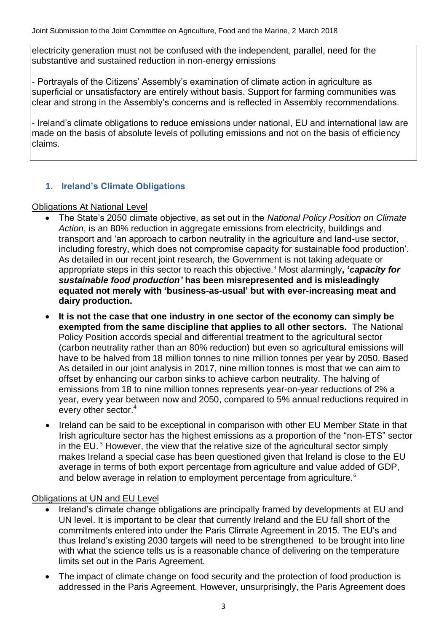electricity generation must not be confused with the independent, parallel, need for the substantive and sustained reduction in non-energy emissions

- Portrayals of the Citizens' Assembly's examination of climate action in agriculture as superficial or unsatisfactory are entirely without basis. Support for farming communities was clear and strong in the Assembly's concerns and is reflected in Assembly recommendations.

- Ireland's climate obligations to reduce emissions under national, EU and international law are made on the basis of absolute levels of polluting emissions and not on the basis of efficiency claims.

# **1. Ireland's Climate Obligations**

### Obligations At National Level

- The State's 2050 climate objective, as set out in the *National Policy Position on Climate Action*, is an 80% reduction in aggregate emissions from electricity, buildings and transport and 'an approach to carbon neutrality in the agriculture and land-use sector, including forestry, which does not compromise capacity for sustainable food production'. As detailed in our recent joint research, the Government is not taking adequate or appropriate steps in this sector to reach this objective.<sup>3</sup> Most alarmingly**, '***capacity for sustainable food production'* **has been misrepresented and is misleadingly equated not merely with 'business-as-usual' but with ever-increasing meat and dairy production.**
- **It is not the case that one industry in one sector of the economy can simply be exempted from the same discipline that applies to all other sectors.** The National Policy Position accords special and differential treatment to the agricultural sector (carbon neutrality rather than an 80% reduction) but even so agricultural emissions will have to be halved from 18 million tonnes to nine million tonnes per year by 2050. Based As detailed in our joint analysis in 2017, nine million tonnes is most that we can aim to offset by enhancing our carbon sinks to achieve carbon neutrality. The halving of emissions from 18 to nine million tonnes represents year-on-year reductions of 2% a year, every year between now and 2050, compared to 5% annual reductions required in every other sector.<sup>4</sup>
- Ireland can be said to be exceptional in comparison with other EU Member State in that Irish agriculture sector has the highest emissions as a proportion of the "non-ETS" sector in the EU.<sup>5</sup> However, the view that the relative size of the agricultural sector simply makes Ireland a special case has been questioned given that Ireland is close to the EU average in terms of both export percentage from agriculture and value added of GDP, and below average in relation to employment percentage from agriculture.<sup>6</sup>

### Obligations at UN and EU Level

- Ireland's climate change obligations are principally framed by developments at EU and UN level. It is important to be clear that currently Ireland and the EU fall short of the commitments entered into under the Paris Climate Agreement in 2015. The EU's and thus Ireland's existing 2030 targets will need to be strengthened to be brought into line with what the science tells us is a reasonable chance of delivering on the temperature limits set out in the Paris Agreement.
- The impact of climate change on food security and the protection of food production is addressed in the Paris Agreement. However, unsurprisingly, the Paris Agreement does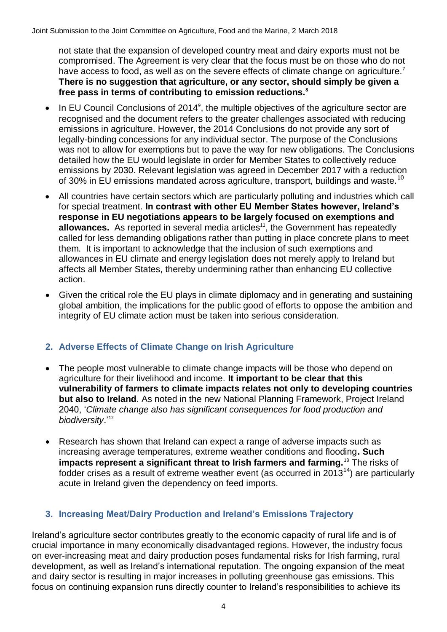not state that the expansion of developed country meat and dairy exports must not be compromised. The Agreement is very clear that the focus must be on those who do not have access to food, as well as on the severe effects of climate change on agriculture.<sup>7</sup> **There is no suggestion that agriculture, or any sector, should simply be given a free pass in terms of contributing to emission reductions.<sup>8</sup>**

- $\bullet$  In EU Council Conclusions of 2014<sup>9</sup>, the multiple objectives of the agriculture sector are recognised and the document refers to the greater challenges associated with reducing emissions in agriculture. However, the 2014 Conclusions do not provide any sort of legally-binding concessions for any individual sector. The purpose of the Conclusions was not to allow for exemptions but to pave the way for new obligations. The Conclusions detailed how the EU would legislate in order for Member States to collectively reduce emissions by 2030. Relevant legislation was agreed in December 2017 with a reduction of 30% in EU emissions mandated across agriculture, transport, buildings and waste.<sup>10</sup>
- All countries have certain sectors which are particularly polluting and industries which call for special treatment. **In contrast with other EU Member States however, Ireland's response in EU negotiations appears to be largely focused on exemptions and allowances.** As reported in several media articles<sup>11</sup>, the Government has repeatedly called for less demanding obligations rather than putting in place concrete plans to meet them. It is important to acknowledge that the inclusion of such exemptions and allowances in EU climate and energy legislation does not merely apply to Ireland but affects all Member States, thereby undermining rather than enhancing EU collective action.
- Given the critical role the EU plays in climate diplomacy and in generating and sustaining global ambition, the implications for the public good of efforts to oppose the ambition and integrity of EU climate action must be taken into serious consideration.

# **2. Adverse Effects of Climate Change on Irish Agriculture**

- The people most vulnerable to climate change impacts will be those who depend on agriculture for their livelihood and income. **It important to be clear that this vulnerability of farmers to climate impacts relates not only to developing countries but also to Ireland**. As noted in the new National Planning Framework, Project Ireland 2040, '*Climate change also has significant consequences for food production and biodiversity*.'<sup>12</sup>
- Research has shown that Ireland can expect a range of adverse impacts such as increasing average temperatures, extreme weather conditions and flooding**. Such impacts represent a significant threat to Irish farmers and farming.**<sup>13</sup> The risks of fodder crises as a result of extreme weather event (as occurred in 2013<sup>14</sup>) are particularly acute in Ireland given the dependency on feed imports.

# **3. Increasing Meat/Dairy Production and Ireland's Emissions Trajectory**

Ireland's agriculture sector contributes greatly to the economic capacity of rural life and is of crucial importance in many economically disadvantaged regions. However, the industry focus on ever-increasing meat and dairy production poses fundamental risks for Irish farming, rural development, as well as Ireland's international reputation. The ongoing expansion of the meat and dairy sector is resulting in major increases in polluting greenhouse gas emissions. This focus on continuing expansion runs directly counter to Ireland's responsibilities to achieve its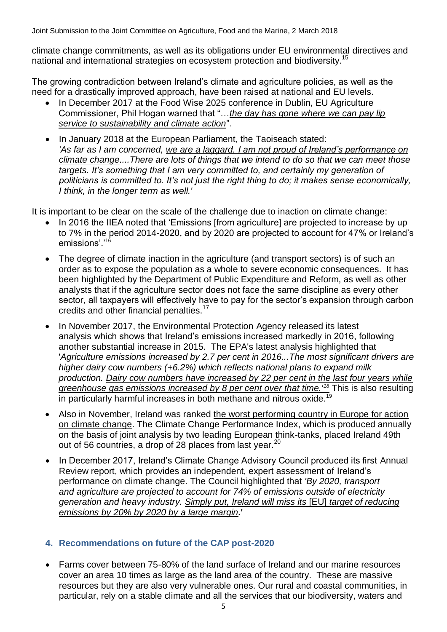climate change commitments, as well as its obligations under EU environmental directives and national and international strategies on ecosystem protection and biodiversity.<sup>15</sup>

The growing contradiction between Ireland's climate and agriculture policies, as well as the need for a drastically improved approach, have been raised at national and EU levels.

- In December 2017 at the Food Wise 2025 conference in Dublin, EU Agriculture Commissioner, Phil Hogan warned that "…*the day has gone where we can pay lip service to sustainability and climate action*".
- In January 2018 at the European Parliament, the Taoiseach stated: *'As far as I am concerned, we are a laggard. I am not proud of Ireland's performance on climate change....There are lots of things that we intend to do so that we can meet those targets. It's something that I am very committed to, and certainly my generation of politicians is committed to. It's not just the right thing to do; it makes sense economically, I think, in the longer term as well.'*

It is important to be clear on the scale of the challenge due to inaction on climate change:

- In 2016 the IIEA noted that 'Emissions [from agriculture] are projected to increase by up to 7% in the period 2014-2020, and by 2020 are projected to account for 47% or Ireland's emissions'.'<sup>16</sup>
- The degree of climate inaction in the agriculture (and transport sectors) is of such an order as to expose the population as a whole to severe economic consequences. It has been highlighted by the Department of Public Expenditure and Reform, as well as other analysts that if the agriculture sector does not face the same discipline as every other sector, all taxpayers will effectively have to pay for the sector's expansion through carbon credits and other financial penalties.<sup>17</sup>
- In November 2017, the Environmental Protection Agency released its [latest](http://www.epa.ie/newsandevents/news/pressreleases2017/name,63280,en.html)  [analysis](http://www.epa.ie/newsandevents/news/pressreleases2017/name,63280,en.html) which shows that Ireland's emissions increased markedly in 2016, following another substantial increase in 2015. The EPA's latest analysis highlighted that '*Agriculture emissions increased by 2.7 per cent in 2016...The most significant drivers are higher dairy cow numbers (+6.2%) which reflects national plans to expand milk production. Dairy cow numbers have increased by 22 per cent in the last four years while greenhouse gas emissions increased by 8 per cent over that time.'<sup>18</sup>* This is also resulting in particularly harmful increases in both methane and nitrous oxide.<sup>19</sup>
- Also in November, Ireland was ranked the worst performing country in Europe for action on climate change. The Climate Change Performance Index, which is produced annually on the basis of joint analysis by two leading European think-tanks, placed Ireland 49th out of 56 countries, a drop of 28 places from last year.<sup>20</sup>
- In December 2017, Ireland's Climate Change Advisory Council produced its first [Annual](http://www.climatecouncil.ie/media/ClimateChangeAdvCouncil_AnnualReview2017FINAL.pdf)  [Review report,](http://www.climatecouncil.ie/media/ClimateChangeAdvCouncil_AnnualReview2017FINAL.pdf) which provides an independent, expert assessment of Ireland's performance on climate change. The Council highlighted that *'By 2020, transport and agriculture are projected to account for 74% of emissions outside of electricity generation and heavy industry. Simply put, Ireland will miss its* [EU] *target of reducing emissions by 20% by 2020 by a large margin***.'**

# **4. Recommendations on future of the CAP post-2020**

 Farms cover between 75-80% of the land surface of Ireland and our marine resources cover an area 10 times as large as the land area of the country. These are massive resources but they are also very vulnerable ones. Our rural and coastal communities, in particular, rely on a stable climate and all the services that our biodiversity, waters and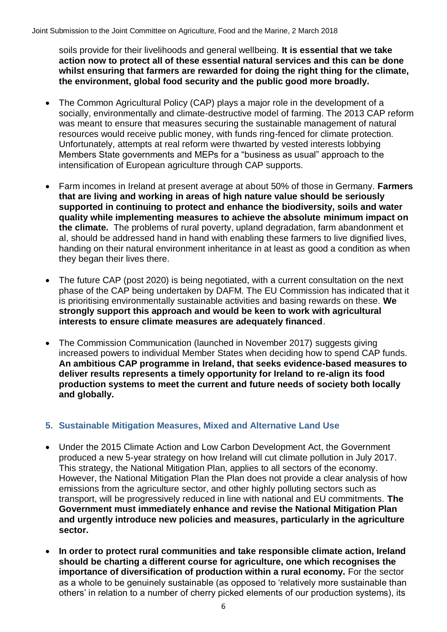soils provide for their livelihoods and general wellbeing. **It is essential that we take action now to protect all of these essential natural services and this can be done whilst ensuring that farmers are rewarded for doing the right thing for the climate, the environment, global food security and the public good more broadly.**

- The Common Agricultural Policy (CAP) plays a major role in the development of a socially, environmentally and climate-destructive model of farming. The 2013 CAP reform was meant to ensure that measures securing the sustainable management of natural resources would receive public money, with funds ring-fenced for climate protection. Unfortunately, attempts at real reform were thwarted by vested interests lobbying Members State governments and MEPs for a "business as usual" approach to the intensification of European agriculture through CAP supports.
- Farm incomes in Ireland at present average at about 50% of those in Germany. **Farmers that are living and working in areas of high nature value should be seriously supported in continuing to protect and enhance the biodiversity, soils and water quality while implementing measures to achieve the absolute minimum impact on the climate.** The problems of rural poverty, upland degradation, farm abandonment et al, should be addressed hand in hand with enabling these farmers to live dignified lives, handing on their natural environment inheritance in at least as good a condition as when they began their lives there.
- The future CAP (post 2020) is being negotiated, with a current consultation on the next phase of the CAP being undertaken by DAFM. The EU Commission has indicated that it is prioritising environmentally sustainable activities and basing rewards on these. **We strongly support this approach and would be keen to work with agricultural interests to ensure climate measures are adequately financed**.
- The Commission Communication (launched in November 2017) suggests giving increased powers to individual Member States when deciding how to spend CAP funds. **An ambitious CAP programme in Ireland, that seeks evidence-based measures to deliver results represents a timely opportunity for Ireland to re-align its food production systems to meet the current and future needs of society both locally and globally.**

### **5. Sustainable Mitigation Measures, Mixed and Alternative Land Use**

- Under the 2015 Climate Action and Low Carbon Development Act, the Government produced a new 5-year strategy on how Ireland will cut climate pollution in July 2017. This strategy, the National Mitigation Plan, applies to all sectors of the economy. However, the National Mitigation Plan the Plan does not provide a clear analysis of how emissions from the agriculture sector, and other highly polluting sectors such as transport, will be progressively reduced in line with national and EU commitments. **The Government must immediately enhance and revise the National Mitigation Plan and urgently introduce new policies and measures, particularly in the agriculture sector.**
- **In order to protect rural communities and take responsible climate action, Ireland should be charting a different course for agriculture, one which recognises the importance of diversification of production within a rural economy.** For the sector as a whole to be genuinely sustainable (as opposed to 'relatively more sustainable than others' in relation to a number of cherry picked elements of our production systems), its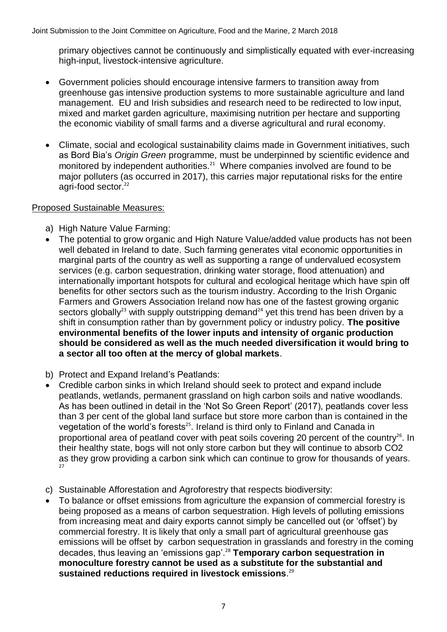primary objectives cannot be continuously and simplistically equated with ever-increasing high-input, livestock-intensive agriculture.

- Government policies should encourage intensive farmers to transition away from greenhouse gas intensive production systems to more sustainable agriculture and land management. EU and Irish subsidies and research need to be redirected to low input, mixed and market garden agriculture, maximising nutrition per hectare and supporting the economic viability of small farms and a diverse agricultural and rural economy.
- Climate, social and ecological sustainability claims made in Government initiatives, such as Bord Bia's *Origin Green* programme, must be underpinned by scientific evidence and monitored by independent authorities. $21$  Where companies involved are found to be major polluters (as occurred in 2017), this carries major reputational risks for the entire agri-food sector.<sup>22</sup>

### Proposed Sustainable Measures:

- a) High Nature Value Farming:
- The potential to grow organic and High Nature Value/added value products has not been well debated in Ireland to date. Such farming generates vital economic opportunities in marginal parts of the country as well as supporting a range of undervalued ecosystem services (e.g. carbon sequestration, drinking water storage, flood attenuation) and internationally important hotspots for cultural and ecological heritage which have spin off benefits for other sectors such as the tourism industry. According to the Irish Organic Farmers and Growers Association Ireland now has one of the fastest growing organic sectors globally<sup>23</sup> with supply outstripping demand<sup>24</sup> yet this trend has been driven by a shift in consumption rather than by government policy or industry policy. **The positive environmental benefits of the lower inputs and intensity of organic production should be considered as well as the much needed diversification it would bring to a sector all too often at the mercy of global markets**.
- b) Protect and Expand Ireland's Peatlands:
- Credible carbon sinks in which Ireland should seek to protect and expand include peatlands, wetlands, permanent grassland on high carbon soils and native woodlands. As has been outlined in detail in the 'Not So Green Report' (2017), peatlands cover less than 3 per cent of the global land surface but store more carbon than is contained in the vegetation of the world's forests<sup>25</sup>. Ireland is third only to Finland and Canada in proportional area of peatland cover with peat soils covering 20 percent of the country<sup>26</sup>. In their healthy state, bogs will not only store carbon but they will continue to absorb CO2 as they grow providing a carbon sink which can continue to grow for thousands of years. 27
- c) Sustainable Afforestation and Agroforestry that respects biodiversity:
- To balance or offset emissions from agriculture the expansion of commercial forestry is being proposed as a means of carbon sequestration. High levels of polluting emissions from increasing meat and dairy exports cannot simply be cancelled out (or 'offset') by commercial forestry. It is likely that only a small part of agricultural greenhouse gas emissions will be offset by carbon sequestration in grasslands and forestry in the coming decades, thus leaving an 'emissions gap'.<sup>28</sup> **Temporary carbon sequestration in monoculture forestry cannot be used as a substitute for the substantial and sustained reductions required in livestock emissions**. 29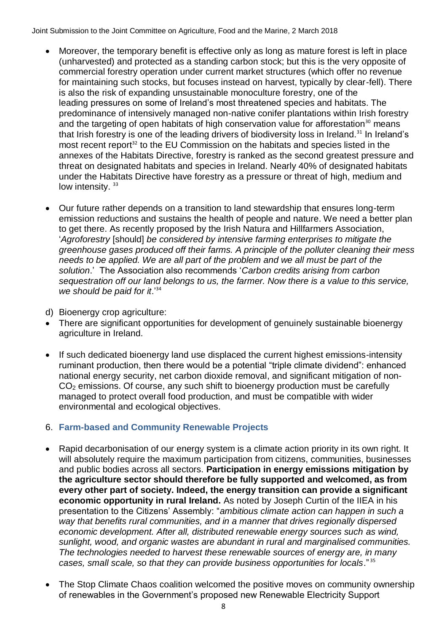- Moreover, the temporary benefit is effective only as long as mature forest is left in place (unharvested) and protected as a standing carbon stock; but this is the very opposite of commercial forestry operation under current market structures (which offer no revenue for maintaining such stocks, but focuses instead on harvest, typically by clear-fell). There is also the risk of expanding unsustainable monoculture forestry, one of the leading pressures on some of Ireland's most threatened species and habitats. The predominance of intensively managed non-native conifer plantations within Irish forestry and the targeting of open habitats of high conservation value for afforestation<sup>30</sup> means that Irish forestry is one of the leading drivers of biodiversity loss in Ireland.<sup>31</sup> In Ireland's most recent report<sup>32</sup> to the EU Commission on the habitats and species listed in the annexes of the Habitats Directive, forestry is ranked as the second greatest pressure and threat on designated habitats and species in Ireland. Nearly 40% of designated habitats under the Habitats Directive have forestry as a pressure or threat of high, medium and low intensity.<sup>33</sup>
- Our future rather depends on a transition to land stewardship that ensures long-term emission reductions and sustains the health of people and nature. We need a better plan to get there. As recently proposed by the Irish Natura and Hillfarmers Association, '*Agroforestry* [should] *be considered by intensive farming enterprises to mitigate the greenhouse gases produced off their farms. A principle of the polluter cleaning their mess needs to be applied. We are all part of the problem and we all must be part of the solution*.' The Association also recommends '*Carbon credits arising from carbon sequestration off our land belongs to us, the farmer. Now there is a value to this service, we should be paid for it*.'<sup>34</sup>
- d) Bioenergy crop agriculture:
- There are significant opportunities for development of genuinely sustainable bioenergy agriculture in Ireland.
- If such dedicated bioenergy land use displaced the current highest emissions-intensity ruminant production, then there would be a potential "triple climate dividend": enhanced national energy security, net carbon dioxide removal, and significant mitigation of non- $CO<sub>2</sub>$  emissions. Of course, any such shift to bioenergy production must be carefully managed to protect overall food production, and must be compatible with wider environmental and ecological objectives.

### 6. **Farm-based and Community Renewable Projects**

- Rapid decarbonisation of our energy system is a climate action priority in its own right. It will absolutely require the maximum participation from citizens, communities, businesses and public bodies across all sectors. **Participation in energy emissions mitigation by the agriculture sector should therefore be fully supported and welcomed, as from every other part of society. Indeed, the energy transition can provide a significant economic opportunity in rural Ireland.** As noted by Joseph Curtin of the IIEA in his presentation to the Citizens' Assembly: "*ambitious climate action can happen in such a way that benefits rural communities, and in a manner that drives regionally dispersed economic development. After all, distributed renewable energy sources such as wind, sunlight, wood, and organic wastes are abundant in rural and marginalised communities. The technologies needed to harvest these renewable sources of energy are, in many cases, small scale, so that they can provide business opportunities for locals*." <sup>35</sup>
- The Stop Climate Chaos coalition welcomed the positive moves on community ownership of renewables in the Government's proposed new Renewable Electricity Support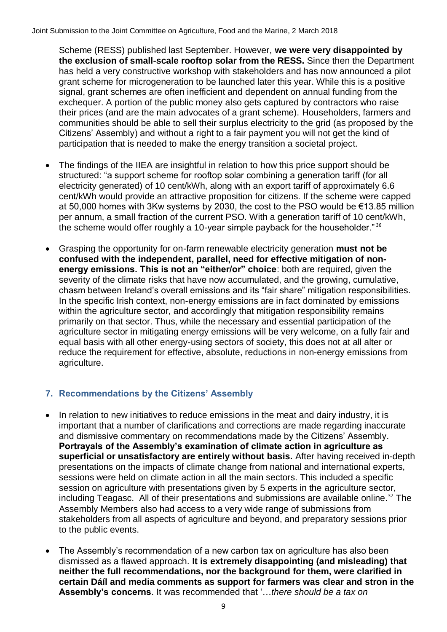Scheme (RESS) published last September. However, **we were very disappointed by the exclusion of small-scale rooftop solar from the RESS.** Since then the Department has held a very constructive workshop with stakeholders and has now announced a pilot grant scheme for microgeneration to be launched later this year. While this is a positive signal, grant schemes are often inefficient and dependent on annual funding from the exchequer. A portion of the public money also gets captured by contractors who raise their prices (and are the main advocates of a grant scheme). Householders, farmers and communities should be able to sell their surplus electricity to the grid (as proposed by the Citizens' Assembly) and without a right to a fair payment you will not get the kind of participation that is needed to make the energy transition a societal project.

- The findings of the IIEA are insightful in relation to how this price support should be structured: "a support scheme for rooftop solar combining a generation tariff (for all electricity generated) of 10 cent/kWh, along with an export tariff of approximately 6.6 cent/kWh would provide an attractive proposition for citizens. If the scheme were capped at 50,000 homes with 3Kw systems by 2030, the cost to the PSO would be €13.85 million per annum, a small fraction of the current PSO. With a generation tariff of 10 cent/kWh, the scheme would offer roughly a 10-year simple payback for the householder."<sup>36</sup>
- Grasping the opportunity for on-farm renewable electricity generation **must not be confused with the independent, parallel, need for effective mitigation of nonenergy emissions. This is not an "either/or" choice**: both are required, given the severity of the climate risks that have now accumulated, and the growing, cumulative, chasm between Ireland's overall emissions and its "fair share" mitigation responsibilities. In the specific Irish context, non-energy emissions are in fact dominated by emissions within the agriculture sector, and accordingly that mitigation responsibility remains primarily on that sector. Thus, while the necessary and essential participation of the agriculture sector in mitigating energy emissions will be very welcome, on a fully fair and equal basis with all other energy-using sectors of society, this does not at all alter or reduce the requirement for effective, absolute, reductions in non-energy emissions from agriculture.

# **7. Recommendations by the Citizens' Assembly**

- In relation to new initiatives to reduce emissions in the meat and dairy industry, it is important that a number of clarifications and corrections are made regarding inaccurate and dismissive commentary on recommendations made by the Citizens' Assembly. **Portrayals of the Assembly's examination of climate action in agriculture as superficial or unsatisfactory are entirely without basis.** After having received in-depth presentations on the impacts of climate change from national and international experts, sessions were held on climate action in all the main sectors. This included a specific session on agriculture with presentations given by 5 experts in the agriculture sector, including Teagasc. All of their presentations and submissions are available online.<sup>37</sup> The Assembly Members also had access to a very wide range of submissions from stakeholders from all aspects of agriculture and beyond, and preparatory sessions prior to the public events.
- The Assembly's recommendation of a new carbon tax on agriculture has also been dismissed as a flawed approach. **It is extremely disappointing (and misleading) that neither the full recommendations, nor the background for them, were clarified in certain Dáíl and media comments as support for farmers was clear and stron in the Assembly's concerns**. It was recommended that '…*there should be a tax on*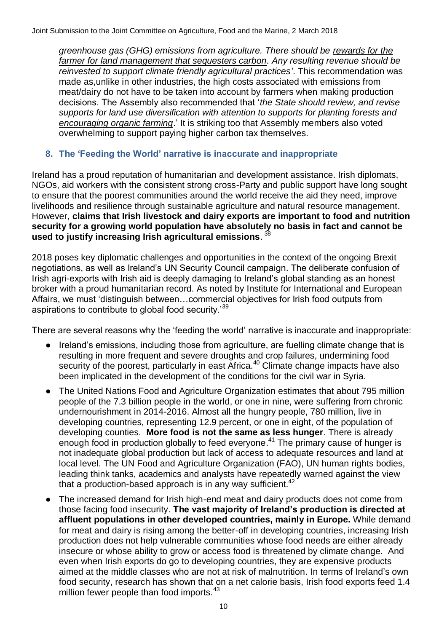*greenhouse gas (GHG) emissions from agriculture. There should be rewards for the farmer for land management that sequesters carbon. Any resulting revenue should be reinvested to support climate friendly agricultural practices'*. This recommendation was made as,unlike in other industries, the high costs associated with emissions from meat/dairy do not have to be taken into account by farmers when making production decisions. The Assembly also recommended that '*the State should review, and revise supports for land use diversification with attention to supports for planting forests and encouraging organic farming*.' It is striking too that Assembly members also voted overwhelming to support paying higher carbon tax themselves.

# **8. The 'Feeding the World' narrative is inaccurate and inappropriate**

Ireland has a proud reputation of humanitarian and development assistance. Irish diplomats, NGOs, aid workers with the consistent strong cross-Party and public support have long sought to ensure that the poorest communities around the world receive the aid they need, improve livelihoods and resilience through sustainable agriculture and natural resource management. However, **claims that Irish livestock and dairy exports are important to food and nutrition security for a growing world population have absolutely no basis in fact and cannot be used to justify increasing Irish agricultural emissions**. 38

2018 poses key diplomatic challenges and opportunities in the context of the ongoing Brexit negotiations, as well as Ireland's UN Security Council campaign. The deliberate confusion of Irish agri-exports with Irish aid is deeply damaging to Ireland's global standing as an honest broker with a proud humanitarian record. As noted by Institute for International and European Affairs, we must 'distinguish between…commercial objectives for Irish food outputs from aspirations to contribute to global food security.<sup>39</sup>

There are several reasons why the 'feeding the world' narrative is inaccurate and inappropriate:

- Ireland's emissions, including those from agriculture, are fuelling climate change that is resulting in more frequent and severe droughts and crop failures, undermining food security of the poorest, particularly in east Africa.<sup>40</sup> Climate change impacts have also been implicated in the development of the conditions for the civil war in Syria.
- The United Nations Food and Agriculture Organization estimates that about 795 million people of the 7.3 billion people in the world, or one in nine, were suffering from chronic undernourishment in 2014-2016. Almost all the hungry people, 780 million, live in developing countries, representing 12.9 percent, or one in eight, of the population of developing counties. **More food is not the same as less hunger**. There is already enough food in production globally to feed everyone.<sup>41</sup> The primary cause of hunger is not inadequate global production but lack of access to adequate resources and land at local level. The UN Food and Agriculture Organization (FAO), UN human rights bodies, leading think tanks, academics and analysts have repeatedly warned against the view that a production-based approach is in any way sufficient. $42$
- The increased demand for Irish high-end meat and dairy products does not come from those facing food insecurity. **The vast majority of Ireland's production is directed at affluent populations in other developed countries, mainly in Europe.** While demand for meat and dairy is rising among the better-off in developing countries, increasing Irish production does not help vulnerable communities whose food needs are either already insecure or whose ability to grow or access food is threatened by climate change. And even when Irish exports do go to developing countries, they are expensive products aimed at the middle classes who are not at risk of malnutrition. In terms of Ireland's own food security, research has shown that on a net calorie basis, Irish food exports feed 1.4 million fewer people than food imports.<sup>43</sup>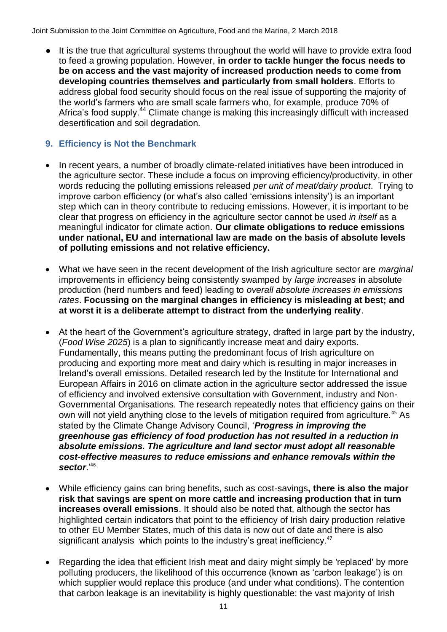It is the true that agricultural systems throughout the world will have to provide extra food to feed a growing population. However, **in order to tackle hunger the focus needs to be on access and the vast majority of increased production needs to come from developing countries themselves and particularly from small holders**. Efforts to address global food security should focus on the real issue of supporting the majority of the world's farmers who are small scale farmers who, for example, produce 70% of Africa's food supply.<sup>44</sup> Climate change is making this increasingly difficult with increased desertification and soil degradation.

### **9. Efficiency is Not the Benchmark**

- In recent years, a number of broadly climate-related initiatives have been introduced in the agriculture sector. These include a focus on improving efficiency/productivity, in other words reducing the polluting emissions released *per unit of meat/dairy product*. Trying to improve carbon efficiency (or what's also called 'emissions intensity') is an important step which can in theory contribute to reducing emissions. However, it is important to be clear that progress on efficiency in the agriculture sector cannot be used *in itself* as a meaningful indicator for climate action. **Our climate obligations to reduce emissions under national, EU and international law are made on the basis of absolute levels of polluting emissions and not relative efficiency.**
- What we have seen in the recent development of the Irish agriculture sector are *marginal* improvements in efficiency being consistently swamped by *large increases* in absolute production (herd numbers and feed) leading to *overall absolute increases in emissions rates*. **Focussing on the marginal changes in efficiency is misleading at best; and at worst it is a deliberate attempt to distract from the underlying reality**.
- At the heart of the Government's agriculture strategy, drafted in large part by the industry, (*Food Wise 2025*) is a plan to significantly increase meat and dairy exports. Fundamentally, this means putting the predominant focus of Irish agriculture on producing and exporting more meat and dairy which is resulting in major increases in Ireland's overall emissions. Detailed research led by the Institute for International and European Affairs in 2016 on climate action in the agriculture sector addressed the issue of efficiency and involved extensive consultation with Government, industry and Non-Governmental Organisations. The research repeatedly notes that efficiency gains on their own will not yield anything close to the levels of mitigation required from agriculture.<sup>45</sup> As stated by the Climate Change Advisory Council, '*Progress in improving the greenhouse gas efficiency of food production has not resulted in a reduction in absolute emissions. The agriculture and land sector must adopt all reasonable cost-effective measures to reduce emissions and enhance removals within the sector*.' 46
- While efficiency gains can bring benefits, such as cost-savings**, there is also the major risk that savings are spent on more cattle and increasing production that in turn increases overall emissions**. It should also be noted that, although the sector has highlighted certain indicators that point to the efficiency of Irish dairy production relative to other EU Member States, much of this data is now out of date and there is also significant [analysis](http://www.antaisce.org/publications/feeding-the-world-sustainably-an-analysis-of-irish-and-eu-food-nutrition-trade-balances) which points to the industry's great inefficiency.<sup>47</sup>
- Regarding the idea that efficient Irish meat and dairy might simply be 'replaced' by more polluting producers, the likelihood of this occurrence (known as 'carbon leakage') is on which supplier would replace this produce (and under what conditions). The contention that carbon leakage is an inevitability is highly questionable: the vast majority of Irish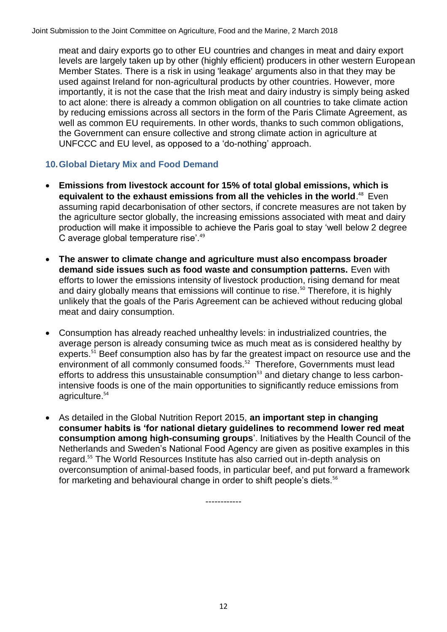meat and dairy exports go to other EU countries and changes in meat and dairy export levels are largely taken up by other (highly efficient) producers in other western European Member States. There is a risk in using 'leakage' arguments also in that they may be used against Ireland for non-agricultural products by other countries. However, more importantly, it is not the case that the Irish meat and dairy industry is simply being asked to act alone: there is already a common obligation on all countries to take climate action by reducing emissions across all sectors in the form of the Paris Climate Agreement, as well as common EU requirements. In other words, thanks to such common obligations, the Government can ensure collective and strong climate action in agriculture at UNFCCC and EU level, as opposed to a 'do-nothing' approach.

# **10.Global Dietary Mix and Food Demand**

- **Emissions from livestock account for 15% of total global emissions, which is equivalent to the exhaust emissions from all the vehicles in the world**. <sup>48</sup> Even assuming rapid decarbonisation of other sectors, if concrete measures are not taken by the agriculture sector globally, the increasing emissions associated with meat and dairy production will make it impossible to achieve the Paris goal to stay 'well below 2 degree C average global temperature rise'.<sup>49</sup>
- **The answer to climate change and agriculture must also encompass broader demand side issues such as food waste and consumption patterns.** Even with efforts to lower the emissions intensity of livestock production, rising demand for meat and dairy globally means that emissions will continue to rise.<sup>50</sup> Therefore, it is highly unlikely that the goals of the Paris Agreement can be achieved without reducing global meat and dairy consumption.
- Consumption has already reached unhealthy levels: in industrialized countries, the average person is already consuming twice as much meat as is considered healthy by experts.<sup>51</sup> Beef consumption also has by far the greatest impact on resource use and the environment of all commonly consumed foods.<sup>52</sup> Therefore, Governments must lead efforts to address this unsustainable consumption<sup>53</sup> and dietary change to less carbonintensive foods is one of the main opportunities to significantly reduce emissions from agriculture.<sup>54</sup>
- As detailed in the Global Nutrition Report 2015, **an important step in changing consumer habits is 'for national dietary guidelines to recommend lower red meat consumption among high-consuming groups**'. Initiatives by the Health Council of the Netherlands and Sweden's National Food Agency are given as positive examples in this regard.<sup>55</sup> The World Resources Institute has also carried out in-depth analysis on overconsumption of animal-based foods, in particular beef, and put forward a framework for marketing and behavioural change in order to shift people's diets.<sup>56</sup>

------------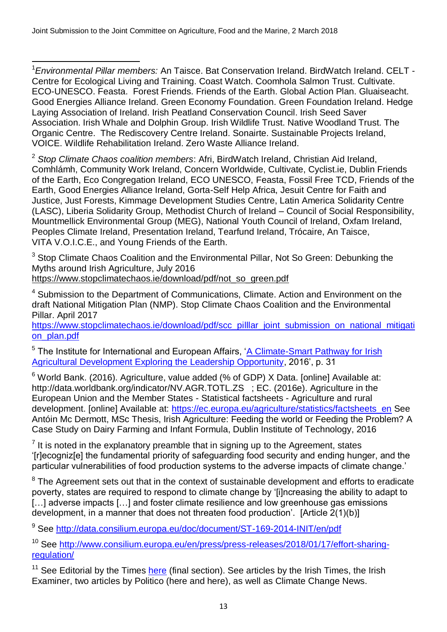$\overline{\phantom{a}}$ <sup>1</sup>*Environmental Pillar members:* An Taisce. Bat Conservation Ireland. BirdWatch Ireland. CELT - Centre for Ecological Living and Training. Coast Watch. Coomhola Salmon Trust. Cultivate. ECO-UNESCO. Feasta. Forest Friends. Friends of the Earth. Global Action Plan. Gluaiseacht. Good Energies Alliance Ireland. Green Economy Foundation. Green Foundation Ireland. Hedge Laying Association of Ireland. Irish Peatland Conservation Council. Irish Seed Saver Association. Irish Whale and Dolphin Group. Irish Wildlife Trust. Native Woodland Trust. The Organic Centre. The Rediscovery Centre Ireland. Sonairte. Sustainable Projects Ireland, VOICE. Wildlife Rehabilitation Ireland. Zero Waste Alliance Ireland.

<sup>2</sup> *Stop Climate Chaos coalition members*: Afri, BirdWatch Ireland, Christian Aid Ireland, Comhlámh, Community Work Ireland, Concern Worldwide, Cultivate, Cyclist.ie, Dublin Friends of the Earth, Eco Congregation Ireland, ECO UNESCO, Feasta, Fossil Free TCD, Friends of the Earth, Good Energies Alliance Ireland, Gorta-Self Help Africa, Jesuit Centre for Faith and Justice, Just Forests, Kimmage Development Studies Centre, Latin America Solidarity Centre (LASC), Liberia Solidarity Group, Methodist Church of Ireland – Council of Social Responsibility, Mountmellick Environmental Group (MEG), National Youth Council of Ireland, Oxfam Ireland, Peoples Climate Ireland, Presentation Ireland, Tearfund Ireland, Trócaire, An Taisce, VITA V.O.I.C.E., and Young Friends of the Earth.

<sup>3</sup> Stop Climate Chaos Coalition and the Environmental Pillar, Not So Green: Debunking the Myths around Irish Agriculture, July 2016 [https://www.stopclimatechaos.ie/download/pdf/not\\_so\\_green.pdf](https://www.stopclimatechaos.ie/download/pdf/not_so_green.pdf)

<sup>4</sup> Submission to the Department of Communications, Climate. Action and Environment on the draft National Mitigation Plan (NMP). Stop Climate Chaos Coalition and the Environmental Pillar. April 2017

[https://www.stopclimatechaos.ie/download/pdf/scc\\_pilllar\\_joint\\_submission\\_on\\_national\\_mitigati](https://www.stopclimatechaos.ie/download/pdf/scc_pilllar_joint_submission_on_national_mitigation_plan.pdf) [on\\_plan.pdf](https://www.stopclimatechaos.ie/download/pdf/scc_pilllar_joint_submission_on_national_mitigation_plan.pdf)

<sup>5</sup> The Institute for International and European Affairs, 'A Climate-Smart Pathway for Irish [Agricultural Development Exploring the Leadership Opportunity,](https://www.iiea.com/ftp/Publications/IIEA_CSA%20Leadership%20Forum%20Final%20Report_Digital%20Version.pdf) 2016', p. 31

 $6$  World Bank. (2016). Agriculture, value added (% of GDP) X Data. [online] Available at: http://data.worldbank.org/indicator/NV.AGR.TOTL.ZS ; EC. (2016e). Agriculture in the European Union and the Member States - Statistical factsheets - Agriculture and rural development. [online] Available at: [https://ec.europa.eu/agriculture/statistics/factsheets\\_en](https://ec.europa.eu/agriculture/statistics/factsheets_en) See Antóin Mc Dermott, MSc Thesis, Irish Agriculture: Feeding the world or Feeding the Problem? A Case Study on Dairy Farming and Infant Formula, Dublin Institute of Technology, 2016

 $<sup>7</sup>$  It is noted in the explanatory preamble that in signing up to the Agreement, states</sup> '[r]ecogniz[e] the fundamental priority of safeguarding food security and ending hunger, and the particular vulnerabilities of food production systems to the adverse impacts of climate change.'

<sup>8</sup> The Agreement sets out that in the context of sustainable development and efforts to eradicate poverty, states are required to respond to climate change by '[i]ncreasing the ability to adapt to [...] adverse impacts [...] and foster climate resilience and low greenhouse gas emissions development, in a manner that does not threaten food production'. [Article 2(1)(b)]

<sup>9</sup> See<http://data.consilium.europa.eu/doc/document/ST-169-2014-INIT/en/pdf>

<sup>10</sup> See [http://www.consilium.europa.eu/en/press/press-releases/2018/01/17/effort-sharing](http://www.consilium.europa.eu/en/press/press-releases/2018/01/17/effort-sharing-regulation/)[regulation/](http://www.consilium.europa.eu/en/press/press-releases/2018/01/17/effort-sharing-regulation/)

 $11$  See Editorial by the Times [here](https://www.thetimes.co.uk/article/government-enables-a-police-chief-who-is-a-law-unto-herself-tcq0m69t3%20() (final section). See articles by the [Irish Times,](https://www.irishtimes.com/news/environment/ireland-avoiding-responsibilities-on-emissions-sayseu-group-1.2950970) the Irish [Examiner,](http://www.irishexaminer.com/ireland/climate-change-ireland-accused-of-fiddlingas-the-world-burns-as-paris-agreement-signed-394588.html) two articles by Politico [\(here](http://www.politico.eu/article/ireland-not-green-emerald-isle-greenhouse-gas-emissions-economygrowing-pollution/) and [here\)](http://www.politico.eu/article/eu-risksbeing-left-out-in-the-cold-in-global-warming-pact-environment-climate-change-cop-21-paris-europe/), as well as [Climate Change News.](http://www.climatechangenews.com/2017/01/25/how-ireland-bent-eu-climate-rules-to-protect-farting-cows/)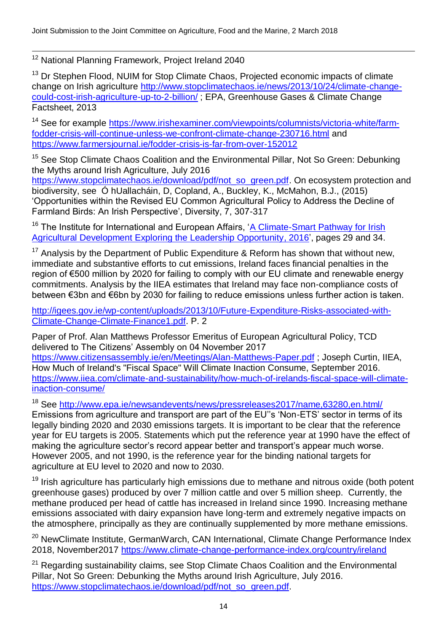$\overline{\phantom{a}}$ <sup>12</sup> National Planning Framework, Project Ireland 2040

<sup>13</sup> Dr Stephen Flood, NUIM for Stop Climate Chaos, Projected economic impacts of climate change on Irish agriculture [http://www.stopclimatechaos.ie/news/2013/10/24/climate-change](http://www.stopclimatechaos.ie/news/2013/10/24/climate-change-could-cost-irish-agriculture-up-to-2-billion/)[could-cost-irish-agriculture-up-to-2-billion/](http://www.stopclimatechaos.ie/news/2013/10/24/climate-change-could-cost-irish-agriculture-up-to-2-billion/) ; EPA, Greenhouse Gases & Climate Change Factsheet, 2013

<sup>14</sup> See for example [https://www.irishexaminer.com/viewpoints/columnists/victoria-white/farm](https://www.irishexaminer.com/viewpoints/columnists/victoria-white/farm-fodder-crisis-will-continue-unless-we-confront-climate-change-230716.html)[fodder-crisis-will-continue-unless-we-confront-climate-change-230716.html](https://www.irishexaminer.com/viewpoints/columnists/victoria-white/farm-fodder-crisis-will-continue-unless-we-confront-climate-change-230716.html) and <https://www.farmersjournal.ie/fodder-crisis-is-far-from-over-152012>

<sup>15</sup> See Stop Climate Chaos Coalition and the Environmental Pillar, Not So Green: Debunking the Myths around Irish Agriculture, July 2016

[https://www.stopclimatechaos.ie/download/pdf/not\\_so\\_green.pdf.](https://www.stopclimatechaos.ie/download/pdf/not_so_green.pdf) On ecosystem protection and biodiversity, see Ó hUallacháin, D, Copland, A., Buckley, K., McMahon, B.J., (2015) 'Opportunities within the Revised EU Common Agricultural Policy to Address the Decline of Farmland Birds: An Irish Perspective', Diversity, 7, 307-317

<sup>16</sup> The Institute for International and European Affairs, 'A Climate-Smart Pathway for Irish [Agricultural Development Exploring the Leadership Opportunity,](https://www.iiea.com/ftp/Publications/IIEA_CSA%20Leadership%20Forum%20Final%20Report_Digital%20Version.pdf) 2016', pages 29 and 34.

 $17$  Analysis by the Department of Public Expenditure & Reform has shown that without new, immediate and substantive efforts to cut emissions, Ireland faces financial penalties in the region of €500 million by 2020 for failing to comply with our EU climate and renewable energy commitments. Analysis by the IIEA estimates that Ireland may face non-compliance costs of between €3bn and €6bn by 2030 for failing to reduce emissions unless further action is taken.

[http://igees.gov.ie/wp-content/uploads/2013/10/Future-Expenditure-Risks-associated-with-](http://igees.gov.ie/wp-content/uploads/2013/10/Future-Expenditure-Risks-associated-with-Climate-Change-Climate-Finance1.pdf)[Climate-Change-Climate-Finance1.pdf.](http://igees.gov.ie/wp-content/uploads/2013/10/Future-Expenditure-Risks-associated-with-Climate-Change-Climate-Finance1.pdf) P. 2

Paper of Prof. Alan Matthews Professor Emeritus of European Agricultural Policy, TCD delivered to The Citizens' Assembly on 04 November 2017 <https://www.citizensassembly.ie/en/Meetings/Alan-Matthews-Paper.pdf> ; Joseph Curtin, IIEA, How Much of Ireland's "Fiscal Space" Will Climate Inaction Consume, September 2016. [https://www.iiea.com/climate-and-sustainability/how-much-of-irelands-fiscal-space-will-climate](https://www.iiea.com/climate-and-sustainability/how-much-of-irelands-fiscal-space-will-climate-inaction-consume/)[inaction-consume/](https://www.iiea.com/climate-and-sustainability/how-much-of-irelands-fiscal-space-will-climate-inaction-consume/)

<sup>18</sup> See<http://www.epa.ie/newsandevents/news/pressreleases2017/name,63280,en.html/>

Emissions from agriculture and transport are part of the EU"s 'Non-ETS' sector in terms of its legally binding 2020 and 2030 emissions targets. It is important to be clear that the reference year for EU targets is 2005. Statements which put the reference year at 1990 have the effect of making the agriculture sector's record appear better and transport's appear much worse. However 2005, and not 1990, is the reference year for the binding national targets for agriculture at EU level to 2020 and now to 2030.

 $19$  Irish agriculture has particularly high emissions due to methane and nitrous oxide (both potent greenhouse gases) produced by over 7 million cattle and over 5 million sheep. Currently, the methane produced per head of cattle has increased in Ireland since 1990. Increasing methane emissions associated with dairy expansion have long-term and extremely negative impacts on the atmosphere, principally as they are continually supplemented by more methane emissions.

<sup>20</sup> NewClimate Institute, GermanWarch, CAN International, Climate Change Performance Index 2018, November2017<https://www.climate-change-performance-index.org/country/ireland>

<sup>21</sup> Regarding sustainability claims, see Stop Climate Chaos Coalition and the Environmental Pillar, Not So Green: Debunking the Myths around Irish Agriculture, July 2016. [https://www.stopclimatechaos.ie/download/pdf/not\\_so\\_green.pdf.](https://www.stopclimatechaos.ie/download/pdf/not_so_green.pdf)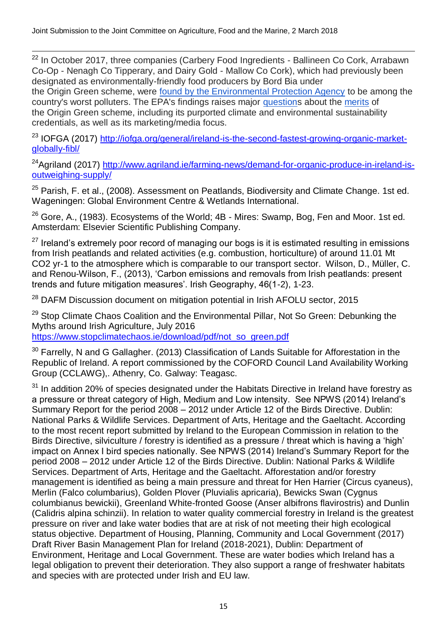$\overline{\phantom{a}}$ 

<sup>22</sup> In October 2017, three companies (Carbery Food Ingredients - Ballineen Co Cork, Arrabawn Co-Op - Nenagh Co Tipperary, and Dairy Gold - Mallow Co Cork), which had previously been designated as environmentally-friendly food producers by Bord Bia under the Origin Green scheme, were [found by the Environmental Protection Agency](http://www.epa.ie/enforcement/nationalprioritysites/) to be among the country's worst polluters. The EPA's findings raises major [questions](https://www.irishtimes.com/news/environment/environmental-group-calls-origin-green-a-sham-1.3244507) about the [merits](http://www.irishexaminer.com/breakingnews/business/three-environmentally-friendly-food-producers-appear-on-list-of-countrys-worst-polluters-808226.html) of the Origin Green scheme, including its purported climate and environmental sustainability credentials, as well as its marketing/media focus.

<sup>23</sup> IOFGA (2017) http://jofga.org/general/ireland-is-the-second-fastest-growing-organic-market[globally-fibl/](http://iofga.org/general/ireland-is-the-second-fastest-growing-organic-market-globally-fibl/)

<sup>24</sup>Agriland (2017) [http://www.agriland.ie/farming-news/demand-for-organic-produce-in-ireland-is](http://www.agriland.ie/farming-news/demand-for-organic-produce-in-ireland-is-outweighing-supply/)[outweighing-supply/](http://www.agriland.ie/farming-news/demand-for-organic-produce-in-ireland-is-outweighing-supply/)

<sup>25</sup> Parish, F. et al., (2008). Assessment on Peatlands, Biodiversity and Climate Change. 1st ed. Wageningen: Global Environment Centre & Wetlands International.

 $26$  Gore, A., (1983). Ecosystems of the World;  $4B$  - Mires: Swamp, Bog, Fen and Moor. 1st ed. Amsterdam: Elsevier Scientific Publishing Company.

 $27$  Ireland's extremely poor record of managing our bogs is it is estimated resulting in emissions from Irish peatlands and related activities (e.g. combustion, horticulture) of around 11.01 Mt CO2 yr-1 to the atmosphere which is comparable to our transport sector. Wilson, D., Müller, C. and Renou-Wilson, F., (2013), 'Carbon emissions and removals from Irish peatlands: present trends and future mitigation measures'. Irish Geography, 46(1-2), 1-23.

<sup>28</sup> DAFM Discussion document on mitigation potential in Irish AFOLU sector, 2015

 $29$  Stop Climate Chaos Coalition and the Environmental Pillar, Not So Green: Debunking the Myths around Irish Agriculture, July 2016

[https://www.stopclimatechaos.ie/download/pdf/not\\_so\\_green.pdf](https://www.stopclimatechaos.ie/download/pdf/not_so_green.pdf)

<sup>30</sup> Farrelly, N and G Gallagher. (2013) Classification of Lands Suitable for Afforestation in the Republic of Ireland. A report commissioned by the COFORD Council Land Availability Working Group (CCLAWG),. Athenry, Co. Galway: Teagasc.

 $31$  In addition 20% of species designated under the Habitats Directive in Ireland have forestry as a pressure or threat category of High, Medium and Low intensity. See NPWS (2014) Ireland's Summary Report for the period 2008 – 2012 under Article 12 of the Birds Directive. Dublin: National Parks & Wildlife Services. Department of Arts, Heritage and the Gaeltacht. According to the most recent report submitted by Ireland to the European Commission in relation to the Birds Directive, silviculture / forestry is identified as a pressure / threat which is having a 'high' impact on Annex I bird species nationally. See NPWS (2014) Ireland's Summary Report for the period 2008 – 2012 under Article 12 of the Birds Directive. Dublin: National Parks & Wildlife Services. Department of Arts, Heritage and the Gaeltacht. Afforestation and/or forestry management is identified as being a main pressure and threat for Hen Harrier (Circus cyaneus), Merlin (Falco columbarius), Golden Plover (Pluvialis apricaria), Bewicks Swan (Cygnus columbianus bewickii), Greenland White-fronted Goose (Anser albifrons flavirostris) and Dunlin (Calidris alpina schinzii). In relation to water quality commercial forestry in Ireland is the greatest pressure on river and lake water bodies that are at risk of not meeting their high ecological status objective. Department of Housing, Planning, Community and Local Government (2017) Draft River Basin Management Plan for Ireland (2018-2021), Dublin: Department of Environment, Heritage and Local Government. These are water bodies which Ireland has a legal obligation to prevent their deterioration. They also support a range of freshwater habitats and species with are protected under Irish and EU law.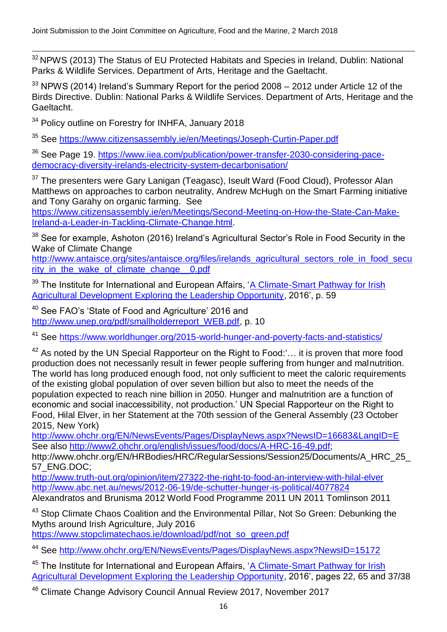$\overline{\phantom{a}}$  $32$  NPWS (2013) The Status of EU Protected Habitats and Species in Ireland, Dublin: National Parks & Wildlife Services. Department of Arts, Heritage and the Gaeltacht.

 $33$  NPWS (2014) Ireland's Summary Report for the period 2008 – 2012 under Article 12 of the Birds Directive. Dublin: National Parks & Wildlife Services. Department of Arts, Heritage and the Gaeltacht.

<sup>34</sup> Policy outline on Forestry for INHFA, January 2018

<sup>35</sup> See<https://www.citizensassembly.ie/en/Meetings/Joseph-Curtin-Paper.pdf>

<sup>36</sup> See Page 19. [https://www.iiea.com/publication/power-transfer-2030-considering-pace](https://www.iiea.com/publication/power-transfer-2030-considering-pace-democracy-diversity-irelands-electricity-system-decarbonisation/)[democracy-diversity-irelands-electricity-system-decarbonisation/](https://www.iiea.com/publication/power-transfer-2030-considering-pace-democracy-diversity-irelands-electricity-system-decarbonisation/)

<sup>37</sup> The presenters were Gary Lanigan (Teagasc), Iseult Ward (Food Cloud), Professor Alan Matthews on approaches to carbon neutrality, Andrew McHugh on the Smart Farming initiative and Tony Garahy on organic farming. See

[https://www.citizensassembly.ie/en/Meetings/Second-Meeting-on-How-the-State-Can-Make-](https://www.citizensassembly.ie/en/Meetings/Second-Meeting-on-How-the-State-Can-Make-Ireland-a-Leader-in-Tackling-Climate-Change.html)[Ireland-a-Leader-in-Tackling-Climate-Change.html.](https://www.citizensassembly.ie/en/Meetings/Second-Meeting-on-How-the-State-Can-Make-Ireland-a-Leader-in-Tackling-Climate-Change.html)

 $38$  See for example, Ashoton (2016) Ireland's Agricultural Sector's Role in Food Security in the Wake of Climate Change

[http://www.antaisce.org/sites/antaisce.org/files/irelands\\_agricultural\\_sectors\\_role\\_in\\_food\\_secu](http://www.antaisce.org/sites/antaisce.org/files/irelands_agricultural_sectors_role_in_food_security_in_the_wake_of_climate_change__0.pdf) [rity\\_in\\_the\\_wake\\_of\\_climate\\_change\\_\\_0.pdf](http://www.antaisce.org/sites/antaisce.org/files/irelands_agricultural_sectors_role_in_food_security_in_the_wake_of_climate_change__0.pdf)

<sup>39</sup> The Institute for International and European Affairs, 'A Climate-Smart Pathway for Irish [Agricultural Development Exploring the Leadership Opportunity,](https://www.iiea.com/ftp/Publications/IIEA_CSA%20Leadership%20Forum%20Final%20Report_Digital%20Version.pdf) 2016', p. 59

<sup>40</sup> See FAO's 'State of Food and Agriculture' 2016 and [http://www.unep.org/pdf/smallholderreport\\_WEB.pdf,](http://www.unep.org/pdf/smallholderreport_WEB.pdf) p. 10

See<https://www.worldhunger.org/2015-world-hunger-and-poverty-facts-and-statistics/>

 $42$  As noted by the UN Special Rapporteur on the Right to Food:  $\ldots$  it is proven that more food production does not necessarily result in fewer people suffering from hunger and malnutrition. The world has long produced enough food, not only sufficient to meet the caloric requirements of the existing global population of over seven billion but also to meet the needs of the population expected to reach nine billion in 2050. Hunger and malnutrition are a function of economic and social inaccessibility, not production.' UN Special Rapporteur on the Right to Food, Hilal Elver, in her Statement at the 70th session of the General Assembly (23 October 2015, New York)

[http://www.ohchr.org/EN/NewsEvents/Pages/DisplayNews.aspx?NewsID=16683&LangID=E](http://www.ohchr.org/EN/NewsEvents/Pages/DisplayNews.aspx?NewsID=16683&LangID=E%20) See also [http://www2.ohchr.org/english/issues/food/docs/A-HRC-16-49.pdf;](http://www2.ohchr.org/english/issues/food/docs/A-HRC-16-49.pdf)

http://www.ohchr.org/EN/HRBodies/HRC/RegularSessions/Session25/Documents/A\_HRC\_25 57\_ENG.DOC;

<http://www.truth-out.org/opinion/item/27322-the-right-to-food-an-interview-with-hilal-elver> <http://www.abc.net.au/news/2012-06-19/de-schutter-hunger-is-political/4077824>

Alexandratos and Brunisma 2012 World Food Programme 2011 UN 2011 Tomlinson 2011

<sup>43</sup> Stop Climate Chaos Coalition and the Environmental Pillar, Not So Green: Debunking the Myths around Irish Agriculture, July 2016

[https://www.stopclimatechaos.ie/download/pdf/not\\_so\\_green.pdf](https://www.stopclimatechaos.ie/download/pdf/not_so_green.pdf)

<sup>44</sup> See <http://www.ohchr.org/EN/NewsEvents/Pages/DisplayNews.aspx?NewsID=15172>

<sup>45</sup> The Institute for International and European Affairs, 'A Climate-Smart Pathway for Irish [Agricultural Development Exploring the Leadership Opportunity,](https://www.iiea.com/ftp/Publications/IIEA_CSA%20Leadership%20Forum%20Final%20Report_Digital%20Version.pdf) 2016', pages 22, 65 and 37/38

<sup>46</sup> Climate Change Advisory Council Annual Review 2017, November 2017